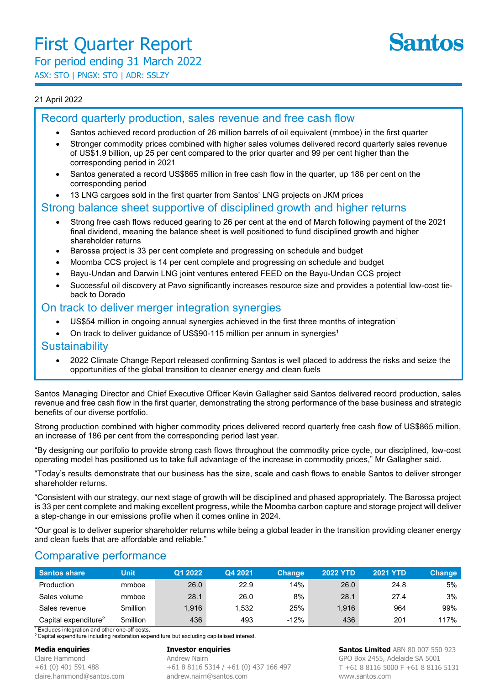

ASX: STO | PNGX: STO | ADR: SSLZY

#### 21 April 2022

## Record quarterly production, sales revenue and free cash flow

- Santos achieved record production of 26 million barrels of oil equivalent (mmboe) in the first quarter
- Stronger commodity prices combined with higher sales volumes delivered record quarterly sales revenue of US\$1.9 billion, up 25 per cent compared to the prior quarter and 99 per cent higher than the corresponding period in 2021
- Santos generated a record US\$865 million in free cash flow in the quarter, up 186 per cent on the corresponding period
- 13 LNG cargoes sold in the first quarter from Santos' LNG projects on JKM prices

## Strong balance sheet supportive of disciplined growth and higher returns

- Strong free cash flows reduced gearing to 26 per cent at the end of March following payment of the 2021 final dividend, meaning the balance sheet is well positioned to fund disciplined growth and higher shareholder returns
- Barossa project is 33 per cent complete and progressing on schedule and budget
- Moomba CCS project is 14 per cent complete and progressing on schedule and budget
- Bayu-Undan and Darwin LNG joint ventures entered FEED on the Bayu-Undan CCS project
- Successful oil discovery at Pavo significantly increases resource size and provides a potential low-cost tieback to Dorado

### On track to deliver merger integration synergies

- US\$54 million in ongoing annual synergies achieved in the first three months of integration<sup>1</sup>
- On track to deliver guidance of US\$90-115 million per annum in synergies<sup>1</sup>

### **Sustainability**

• 2022 Climate Change Report released confirming Santos is well placed to address the risks and seize the opportunities of the global transition to cleaner energy and clean fuels

Santos Managing Director and Chief Executive Officer Kevin Gallagher said Santos delivered record production, sales revenue and free cash flow in the first quarter, demonstrating the strong performance of the base business and strategic benefits of our diverse portfolio.

Strong production combined with higher commodity prices delivered record quarterly free cash flow of US\$865 million, an increase of 186 per cent from the corresponding period last year.

"By designing our portfolio to provide strong cash flows throughout the commodity price cycle, our disciplined, low-cost operating model has positioned us to take full advantage of the increase in commodity prices," Mr Gallagher said.

"Today's results demonstrate that our business has the size, scale and cash flows to enable Santos to deliver stronger shareholder returns.

"Consistent with our strategy, our next stage of growth will be disciplined and phased appropriately. The Barossa project is 33 per cent complete and making excellent progress, while the Moomba carbon capture and storage project will deliver a step-change in our emissions profile when it comes online in 2024.

"Our goal is to deliver superior shareholder returns while being a global leader in the transition providing cleaner energy and clean fuels that are affordable and reliable."

## Comparative performance

| Santos share                     | Unit      | Q1 2022 | Q4 2021 | <b>Change</b> | <b>2022 YTD</b> | <b>2021 YTD</b> | <b>Change</b> |
|----------------------------------|-----------|---------|---------|---------------|-----------------|-----------------|---------------|
| Production                       | mmboe     | 26.0    | 22.9    | 14%           | 26.0            | 24.8            | 5%            |
| Sales volume                     | mmboe     | 28.1    | 26.0    | 8%            | 28.1            | 27.4            | 3%            |
| Sales revenue                    | \$million | 1.916   | .532    | 25%           | 1.916           | 964             | 99%           |
| Capital expenditure <sup>2</sup> | \$million | 436     | 493     | $-12%$        | 436             | 201             | 117%          |

 $1$  Excludes integration and other one-off costs.<br> $2$  Capital expenditure including restoration expenditure but excluding capitalised interest.

#### **Media enquiries**

Claire Hammond +61 (0) 401 591 488 claire.hammond@santos.com

#### **Investor enquiries**

Andrew Nairn +61 8 8116 5314 / +61 (0) 437 166 497 andrew.nairn@santos.com

**Santos Limited** ABN 80 007 550 923 GPO Box 2455, Adelaide SA 5001 T +61 8 8116 5000 F +61 8 8116 5131 www.santos.com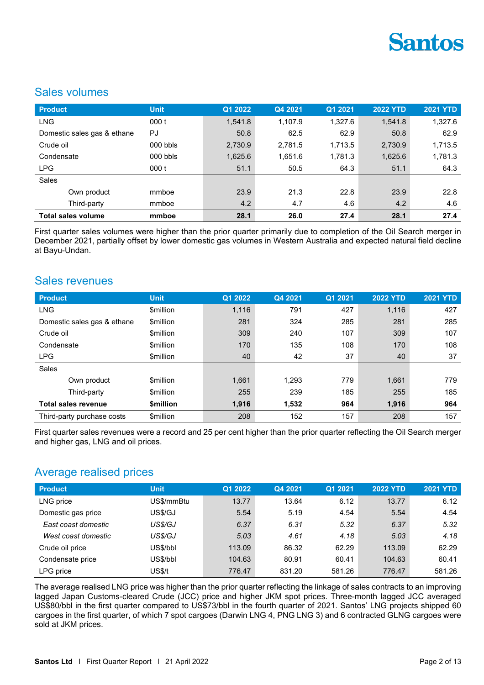

## Sales volumes

| <b>Product</b>              | <b>Unit</b> | Q1 2022 | Q4 2021 | Q1 2021 | <b>2022 YTD</b> | <b>2021 YTD</b> |
|-----------------------------|-------------|---------|---------|---------|-----------------|-----------------|
| <b>LNG</b>                  | 000 t       | 1,541.8 | 1,107.9 | 1.327.6 | 1,541.8         | 1,327.6         |
| Domestic sales gas & ethane | PJ          | 50.8    | 62.5    | 62.9    | 50.8            | 62.9            |
| Crude oil                   | $000$ bbls  | 2,730.9 | 2,781.5 | 1.713.5 | 2.730.9         | 1,713.5         |
| Condensate                  | $000$ bbls  | 1,625.6 | 1.651.6 | 1,781.3 | 1.625.6         | 1,781.3         |
| <b>LPG</b>                  | 000t        | 51.1    | 50.5    | 64.3    | 51.1            | 64.3            |
| <b>Sales</b>                |             |         |         |         |                 |                 |
| Own product                 | mmboe       | 23.9    | 21.3    | 22.8    | 23.9            | 22.8            |
| Third-party                 | mmboe       | 4.2     | 4.7     | 4.6     | 4.2             | 4.6             |
| <b>Total sales volume</b>   | mmboe       | 28.1    | 26.0    | 27.4    | 28.1            | 27.4            |

First quarter sales volumes were higher than the prior quarter primarily due to completion of the Oil Search merger in December 2021, partially offset by lower domestic gas volumes in Western Australia and expected natural field decline at Bayu-Undan.

## Sales revenues

| <b>Product</b>              | <b>Unit</b>                   | Q1 2022 | Q4 2021 | Q1 2021 | <b>2022 YTD</b> | <b>2021 YTD</b> |
|-----------------------------|-------------------------------|---------|---------|---------|-----------------|-----------------|
| <b>LNG</b>                  | \$million                     | 1,116   | 791     | 427     | 1,116           | 427             |
| Domestic sales gas & ethane | <b>\$million</b>              | 281     | 324     | 285     | 281             | 285             |
| Crude oil                   | <b>\$million</b>              | 309     | 240     | 107     | 309             | 107             |
| Condensate                  | <b>\$million</b>              | 170     | 135     | 108     | 170             | 108             |
| <b>LPG</b>                  | \$million                     | 40      | 42      | 37      | 40              | 37              |
| <b>Sales</b>                |                               |         |         |         |                 |                 |
| Own product                 | <b>\$million</b>              | 1,661   | 1,293   | 779     | 1,661           | 779             |
| Third-party                 | <b>\$million</b>              | 255     | 239     | 185     | 255             | 185             |
| <b>Total sales revenue</b>  | <b><i><u>Smillion</u></i></b> | 1,916   | 1,532   | 964     | 1,916           | 964             |
| Third-party purchase costs  | <b>\$million</b>              | 208     | 152     | 157     | 208             | 157             |

First quarter sales revenues were a record and 25 per cent higher than the prior quarter reflecting the Oil Search merger and higher gas, LNG and oil prices.

## Average realised prices

| <b>Product</b>      | <b>Unit</b>    | Q1 2022 | Q4 2021 | Q1 2021 | <b>2022 YTD</b> | <b>2021 YTD</b> |
|---------------------|----------------|---------|---------|---------|-----------------|-----------------|
| LNG price           | US\$/mmBtu     | 13.77   | 13.64   | 6.12    | 13.77           | 6.12            |
| Domestic gas price  | <b>US\$/GJ</b> | 5.54    | 5.19    | 4.54    | 5.54            | 4.54            |
| East coast domestic | US\$/GJ        | 6.37    | 6.31    | 5.32    | 6.37            | 5.32            |
| West coast domestic | US\$/GJ        | 5.03    | 4.61    | 4.18    | 5.03            | 4.18            |
| Crude oil price     | US\$/bbl       | 113.09  | 86.32   | 62.29   | 113.09          | 62.29           |
| Condensate price    | US\$/bbl       | 104.63  | 80.91   | 60.41   | 104.63          | 60.41           |
| LPG price           | US\$/t         | 776.47  | 831.20  | 581.26  | 776.47          | 581.26          |

The average realised LNG price was higher than the prior quarter reflecting the linkage of sales contracts to an improving lagged Japan Customs-cleared Crude (JCC) price and higher JKM spot prices. Three-month lagged JCC averaged US\$80/bbl in the first quarter compared to US\$73/bbl in the fourth quarter of 2021. Santos' LNG projects shipped 60 cargoes in the first quarter, of which 7 spot cargoes (Darwin LNG 4, PNG LNG 3) and 6 contracted GLNG cargoes were sold at JKM prices.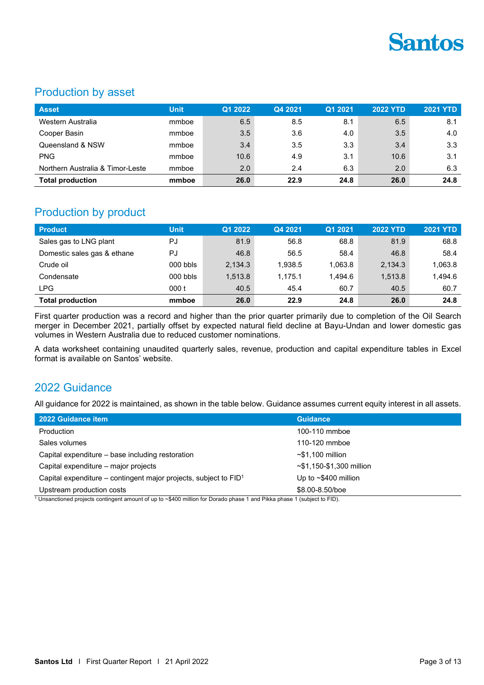

## Production by asset

| <b>Asset</b>                     | <b>Unit</b> | Q1 2022 | Q4 2021 | Q1 2021 | <b>2022 YTD</b> | <b>2021 YTD</b> |
|----------------------------------|-------------|---------|---------|---------|-----------------|-----------------|
| Western Australia                | mmboe       | 6.5     | 8.5     | 8.1     | 6.5             | 8.1             |
| Cooper Basin                     | mmboe       | 3.5     | 3.6     | 4.0     | 3.5             | 4.0             |
| Queensland & NSW                 | mmboe       | 3.4     | 3.5     | 3.3     | 3.4             | 3.3             |
| <b>PNG</b>                       | mmboe       | 10.6    | 4.9     | 3.1     | 10.6            | 3.1             |
| Northern Australia & Timor-Leste | mmboe       | 2.0     | 2.4     | 6.3     | 2.0             | 6.3             |
| <b>Total production</b>          | mmboe       | 26.0    | 22.9    | 24.8    | 26.0            | 24.8            |

## Production by product

| <b>Product</b>              | <b>Unit</b> | Q1 2022 | Q4 2021 | Q1 2021 | <b>2022 YTD</b> | <b>2021 YTD</b> |
|-----------------------------|-------------|---------|---------|---------|-----------------|-----------------|
| Sales gas to LNG plant      | PJ          | 81.9    | 56.8    | 68.8    | 81.9            | 68.8            |
| Domestic sales gas & ethane | PJ          | 46.8    | 56.5    | 58.4    | 46.8            | 58.4            |
| Crude oil                   | $000$ bbls  | 2.134.3 | 1.938.5 | 1.063.8 | 2.134.3         | 1,063.8         |
| Condensate                  | $000$ bbls  | 1.513.8 | 1.175.1 | 1.494.6 | 1.513.8         | 1.494.6         |
| <b>LPG</b>                  | 000 t       | 40.5    | 45.4    | 60.7    | 40.5            | 60.7            |
| <b>Total production</b>     | mmboe       | 26.0    | 22.9    | 24.8    | 26.0            | 24.8            |

First quarter production was a record and higher than the prior quarter primarily due to completion of the Oil Search merger in December 2021, partially offset by expected natural field decline at Bayu-Undan and lower domestic gas volumes in Western Australia due to reduced customer nominations.

A data worksheet containing unaudited quarterly sales, revenue, production and capital expenditure tables in Excel format is available on Santos' website.

## 2022 Guidance

All guidance for 2022 is maintained, as shown in the table below. Guidance assumes current equity interest in all assets.

| 2022 Guidance item                                                 | <b>Guidance</b>            |
|--------------------------------------------------------------------|----------------------------|
| Production                                                         | 100-110 mmboe              |
| Sales volumes                                                      | 110-120 mmboe              |
| Capital expenditure – base including restoration                   | $\sim$ \$1.100 million     |
| Capital expenditure – major projects                               | $~51,150-1,300$ million    |
| Capital expenditure – contingent major projects, subject to $FID1$ | Up to $\sim$ \$400 million |
| Upstream production costs                                          | \$8.00-8.50/boe            |

<sup>1</sup> Unsanctioned projects contingent amount of up to ~\$400 million for Dorado phase 1 and Pikka phase 1 (subject to FID).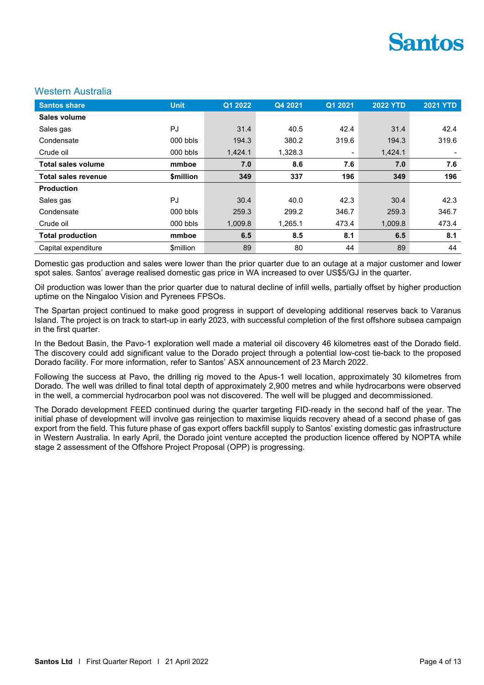

#### Western Australia

| <b>Santos share</b>        | <b>Unit</b>                   | Q1 2022 | Q4 2021 | Q1 2021 | <b>2022 YTD</b> | <b>2021 YTD</b> |
|----------------------------|-------------------------------|---------|---------|---------|-----------------|-----------------|
| Sales volume               |                               |         |         |         |                 |                 |
| Sales gas                  | PJ                            | 31.4    | 40.5    | 42.4    | 31.4            | 42.4            |
| Condensate                 | 000 bbls                      | 194.3   | 380.2   | 319.6   | 194.3           | 319.6           |
| Crude oil                  | $000$ bbls                    | 1,424.1 | 1,328.3 |         | 1,424.1         |                 |
| <b>Total sales volume</b>  | mmboe                         | 7.0     | 8.6     | 7.6     | 7.0             | 7.6             |
| <b>Total sales revenue</b> | <b><i><u>Smillion</u></i></b> | 349     | 337     | 196     | 349             | 196             |
| <b>Production</b>          |                               |         |         |         |                 |                 |
| Sales gas                  | PJ                            | 30.4    | 40.0    | 42.3    | 30.4            | 42.3            |
| Condensate                 | 000 bbls                      | 259.3   | 299.2   | 346.7   | 259.3           | 346.7           |
| Crude oil                  | $000$ bbls                    | 1,009.8 | 1,265.1 | 473.4   | 1,009.8         | 473.4           |
| <b>Total production</b>    | mmboe                         | 6.5     | 8.5     | 8.1     | 6.5             | 8.1             |
| Capital expenditure        | <b>\$million</b>              | 89      | 80      | 44      | 89              | 44              |

Domestic gas production and sales were lower than the prior quarter due to an outage at a major customer and lower spot sales. Santos' average realised domestic gas price in WA increased to over US\$5/GJ in the quarter.

Oil production was lower than the prior quarter due to natural decline of infill wells, partially offset by higher production uptime on the Ningaloo Vision and Pyrenees FPSOs.   

The Spartan project continued to make good progress in support of developing additional reserves back to Varanus Island. The project is on track to start-up in early 2023, with successful completion of the first offshore subsea campaign in the first quarter.

In the Bedout Basin, the Pavo-1 exploration well made a material oil discovery 46 kilometres east of the Dorado field. The discovery could add significant value to the Dorado project through a potential low-cost tie-back to the proposed Dorado facility. For more information, refer to Santos' ASX announcement of 23 March 2022.

Following the success at Pavo, the drilling rig moved to the Apus-1 well location, approximately 30 kilometres from Dorado. The well was drilled to final total depth of approximately 2,900 metres and while hydrocarbons were observed in the well, a commercial hydrocarbon pool was not discovered. The well will be plugged and decommissioned.

The Dorado development FEED continued during the quarter targeting FID-ready in the second half of the year. The initial phase of development will involve gas reinjection to maximise liquids recovery ahead of a second phase of gas export from the field. This future phase of gas export offers backfill supply to Santos' existing domestic gas infrastructure in Western Australia. In early April, the Dorado joint venture accepted the production licence offered by NOPTA while stage 2 assessment of the Offshore Project Proposal (OPP) is progressing.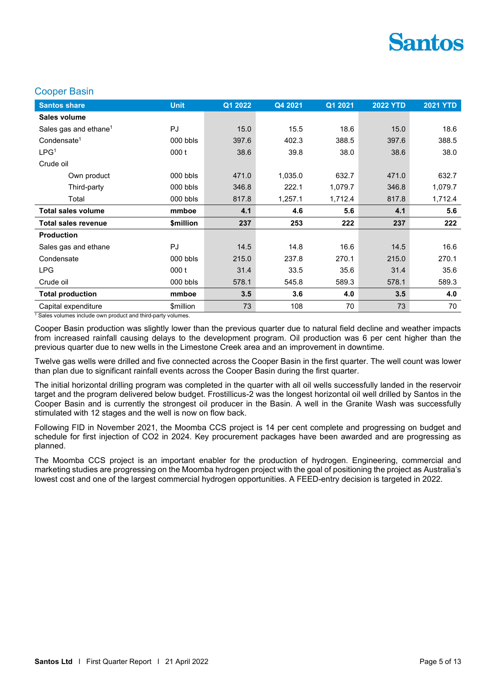# Santos

#### Cooper Basin

| <b>Santos share</b>               | <b>Unit</b> | Q1 2022 | Q4 2021 | Q1 2021 | <b>2022 YTD</b> | <b>2021 YTD</b> |
|-----------------------------------|-------------|---------|---------|---------|-----------------|-----------------|
| <b>Sales volume</b>               |             |         |         |         |                 |                 |
| Sales gas and ethane <sup>1</sup> | PJ          | 15.0    | 15.5    | 18.6    | 15.0            | 18.6            |
| Condensate $1$                    | 000 bbls    | 397.6   | 402.3   | 388.5   | 397.6           | 388.5           |
| LPG <sup>1</sup>                  | 000t        | 38.6    | 39.8    | 38.0    | 38.6            | 38.0            |
| Crude oil                         |             |         |         |         |                 |                 |
| Own product                       | 000 bbls    | 471.0   | 1,035.0 | 632.7   | 471.0           | 632.7           |
| Third-party                       | 000 bbls    | 346.8   | 222.1   | 1,079.7 | 346.8           | 1,079.7         |
| Total                             | $000$ bbls  | 817.8   | 1,257.1 | 1,712.4 | 817.8           | 1,712.4         |
|                                   |             |         |         |         |                 |                 |
| <b>Total sales volume</b>         | mmboe       | 4.1     | 4.6     | 5.6     | 4.1             | 5.6             |
| <b>Total sales revenue</b>        | \$million   | 237     | 253     | 222     | 237             | 222             |
| <b>Production</b>                 |             |         |         |         |                 |                 |
| Sales gas and ethane              | PJ          | 14.5    | 14.8    | 16.6    | 14.5            | 16.6            |
| Condensate                        | 000 bbls    | 215.0   | 237.8   | 270.1   | 215.0           | 270.1           |
| <b>LPG</b>                        | 000t        | 31.4    | 33.5    | 35.6    | 31.4            | 35.6            |
| Crude oil                         | $000$ bbls  | 578.1   | 545.8   | 589.3   | 578.1           | 589.3           |
| <b>Total production</b>           | mmboe       | 3.5     | 3.6     | 4.0     | 3.5             | 4.0             |

 $1$  Sales volumes include own product and third-party volumes.

Cooper Basin production was slightly lower than the previous quarter due to natural field decline and weather impacts from increased rainfall causing delays to the development program. Oil production was 6 per cent higher than the previous quarter due to new wells in the Limestone Creek area and an improvement in downtime.

Twelve gas wells were drilled and five connected across the Cooper Basin in the first quarter. The well count was lower than plan due to significant rainfall events across the Cooper Basin during the first quarter.

The initial horizontal drilling program was completed in the quarter with all oil wells successfully landed in the reservoir target and the program delivered below budget. Frostillicus-2 was the longest horizontal oil well drilled by Santos in the Cooper Basin and is currently the strongest oil producer in the Basin. A well in the Granite Wash was successfully stimulated with 12 stages and the well is now on flow back.

Following FID in November 2021, the Moomba CCS project is 14 per cent complete and progressing on budget and schedule for first injection of CO2 in 2024. Key procurement packages have been awarded and are progressing as planned.

The Moomba CCS project is an important enabler for the production of hydrogen. Engineering, commercial and marketing studies are progressing on the Moomba hydrogen project with the goal of positioning the project as Australia's lowest cost and one of the largest commercial hydrogen opportunities. A FEED-entry decision is targeted in 2022.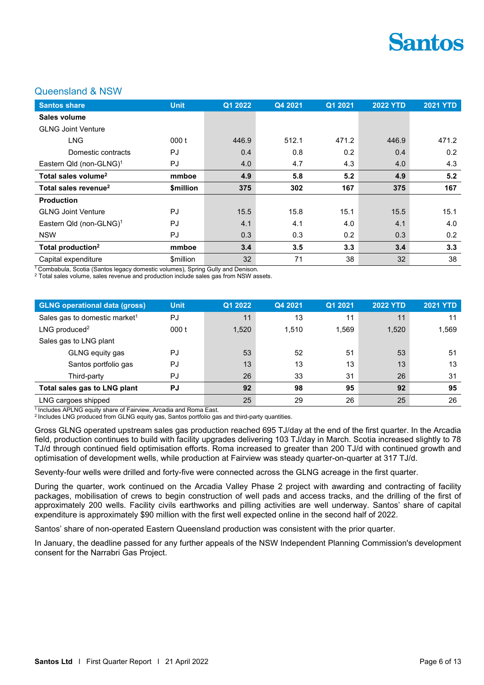

#### Queensland & NSW

| <b>Santos share</b>                 | <b>Unit</b>                   | Q1 2022 | Q4 2021 | Q1 2021 | <b>2022 YTD</b> | <b>2021 YTD</b> |
|-------------------------------------|-------------------------------|---------|---------|---------|-----------------|-----------------|
| Sales volume                        |                               |         |         |         |                 |                 |
| <b>GLNG Joint Venture</b>           |                               |         |         |         |                 |                 |
| <b>LNG</b>                          | 000 t                         | 446.9   | 512.1   | 471.2   | 446.9           | 471.2           |
| Domestic contracts                  | PJ                            | 0.4     | 0.8     | 0.2     | 0.4             | 0.2             |
| Eastern Qld (non-GLNG) <sup>1</sup> | PJ                            | 4.0     | 4.7     | 4.3     | 4.0             | 4.3             |
| Total sales volume <sup>2</sup>     | mmboe                         | 4.9     | 5.8     | 5.2     | 4.9             | 5.2             |
| Total sales revenue <sup>2</sup>    | <b><i><u>Smillion</u></i></b> | 375     | 302     | 167     | 375             | 167             |
| <b>Production</b>                   |                               |         |         |         |                 |                 |
| <b>GLNG Joint Venture</b>           | PJ                            | 15.5    | 15.8    | 15.1    | 15.5            | 15.1            |
| Eastern Qld (non-GLNG) <sup>1</sup> | PJ                            | 4.1     | 4.1     | 4.0     | 4.1             | 4.0             |
| <b>NSW</b>                          | PJ                            | 0.3     | 0.3     | 0.2     | 0.3             | 0.2             |
| Total production <sup>2</sup>       | mmboe                         | 3.4     | 3.5     | 3.3     | 3.4             | 3.3             |
| Capital expenditure                 | \$million                     | 32      | 71      | 38      | 32              | 38              |

 $1$ <sup>1</sup> Combabula, Scotia (Santos legacy domestic volumes), Spring Gully and Denison. 2 Total sales volume, sales revenue and production include sales gas from NSW assets.

| <b>GLNG operational data (gross)</b>      | <b>Unit</b> | Q1 2022 | Q4 2021 | Q1 2021 | <b>2022 YTD</b> | <b>2021 YTD</b> |
|-------------------------------------------|-------------|---------|---------|---------|-----------------|-----------------|
| Sales gas to domestic market <sup>1</sup> | PJ          | 11      | 13      | 11      | 11              |                 |
| $LNG$ produced <sup>2</sup>               | 000t        | 1,520   | 1,510   | 1,569   | 1,520           | 1,569           |
| Sales gas to LNG plant                    |             |         |         |         |                 |                 |
| GLNG equity gas                           | PJ          | 53      | 52      | 51      | 53              | 51              |
| Santos portfolio gas                      | PJ          | 13      | 13      | 13      | 13              | 13              |
| Third-party                               | PJ          | 26      | 33      | 31      | 26              | 31              |
| Total sales gas to LNG plant              | PJ          | 92      | 98      | 95      | 92              | 95              |
| LNG cargoes shipped                       |             | 25      | 29      | 26      | 25              | 26              |

 $1$  Includes APLNG equity share of Fairview, Arcadia and Roma East.<br><sup>2</sup> Includes LNG produced from GLNG equity gas, Santos portfolio gas and third-party quantities.

Gross GLNG operated upstream sales gas production reached 695 TJ/day at the end of the first quarter. In the Arcadia field, production continues to build with facility upgrades delivering 103 TJ/day in March. Scotia increased slightly to 78 TJ/d through continued field optimisation efforts. Roma increased to greater than 200 TJ/d with continued growth and optimisation of development wells, while production at Fairview was steady quarter-on-quarter at 317 TJ/d.

Seventy-four wells were drilled and forty-five were connected across the GLNG acreage in the first quarter.

During the quarter, work continued on the Arcadia Valley Phase 2 project with awarding and contracting of facility packages, mobilisation of crews to begin construction of well pads and access tracks, and the drilling of the first of approximately 200 wells. Facility civils earthworks and pilling activities are well underway. Santos' share of capital expenditure is approximately \$90 million with the first well expected online in the second half of 2022.

Santos' share of non-operated Eastern Queensland production was consistent with the prior quarter.

In January, the deadline passed for any further appeals of the NSW Independent Planning Commission's development consent for the Narrabri Gas Project.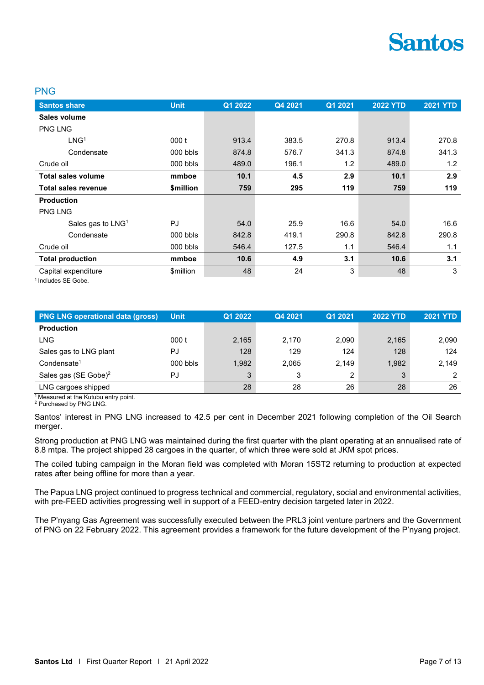

#### PNG

| <b>Santos share</b>           | <b>Unit</b> | Q1 2022 | Q4 2021 | Q1 2021 | <b>2022 YTD</b> | <b>2021 YTD</b> |
|-------------------------------|-------------|---------|---------|---------|-----------------|-----------------|
| Sales volume                  |             |         |         |         |                 |                 |
| <b>PNG LNG</b>                |             |         |         |         |                 |                 |
| LNG <sup>1</sup>              | 000t        | 913.4   | 383.5   | 270.8   | 913.4           | 270.8           |
| Condensate                    | 000 bbls    | 874.8   | 576.7   | 341.3   | 874.8           | 341.3           |
| Crude oil                     | $000$ bbls  | 489.0   | 196.1   | 1.2     | 489.0           | 1.2             |
| <b>Total sales volume</b>     | mmboe       | 10.1    | 4.5     | 2.9     | 10.1            | 2.9             |
| Total sales revenue           | \$million   | 759     | 295     | 119     | 759             | 119             |
| <b>Production</b>             |             |         |         |         |                 |                 |
| <b>PNG LNG</b>                |             |         |         |         |                 |                 |
| Sales gas to LNG <sup>1</sup> | <b>PJ</b>   | 54.0    | 25.9    | 16.6    | 54.0            | 16.6            |
| Condensate                    | $000$ bbls  | 842.8   | 419.1   | 290.8   | 842.8           | 290.8           |
| Crude oil                     | $000$ bbls  | 546.4   | 127.5   | 1.1     | 546.4           | 1.1             |
| <b>Total production</b>       | mmboe       | 10.6    | 4.9     | 3.1     | 10.6            | 3.1             |
| Capital expenditure           | \$million   | 48      | 24      | 3       | 48              | 3               |

<sup>1</sup> Includes SE Gobe.

| <b>PNG LNG operational data (gross)</b> | <b>Unit</b> | Q1 2022 | Q4 2021 | Q1 2021 | <b>2022 YTD</b> | <b>2021 YTD</b> |
|-----------------------------------------|-------------|---------|---------|---------|-----------------|-----------------|
| <b>Production</b>                       |             |         |         |         |                 |                 |
| LNG                                     | 000t        | 2,165   | 2,170   | 2,090   | 2,165           | 2,090           |
| Sales gas to LNG plant                  | PJ          | 128     | 129     | 124     | 128             | 124             |
| Condensate <sup>1</sup>                 | $000$ bbls  | 1.982   | 2.065   | 2.149   | 1.982           | 2.149           |
| Sales gas (SE Gobe) <sup>2</sup>        | PJ          | 3       | 3       | 2       | 3               |                 |
| LNG cargoes shipped                     |             | 28      | 28      | 26      | 28              | 26              |

<sup>1</sup> Measured at the Kutubu entry point.

<sup>2</sup> Purchased by PNG LNG.

Santos' interest in PNG LNG increased to 42.5 per cent in December 2021 following completion of the Oil Search merger.

Strong production at PNG LNG was maintained during the first quarter with the plant operating at an annualised rate of 8.8 mtpa. The project shipped 28 cargoes in the quarter, of which three were sold at JKM spot prices.

The coiled tubing campaign in the Moran field was completed with Moran 15ST2 returning to production at expected rates after being offline for more than a year.

The Papua LNG project continued to progress technical and commercial, regulatory, social and environmental activities, with pre-FEED activities progressing well in support of a FEED-entry decision targeted later in 2022.

The P'nyang Gas Agreement was successfully executed between the PRL3 joint venture partners and the Government of PNG on 22 February 2022. This agreement provides a framework for the future development of the P'nyang project.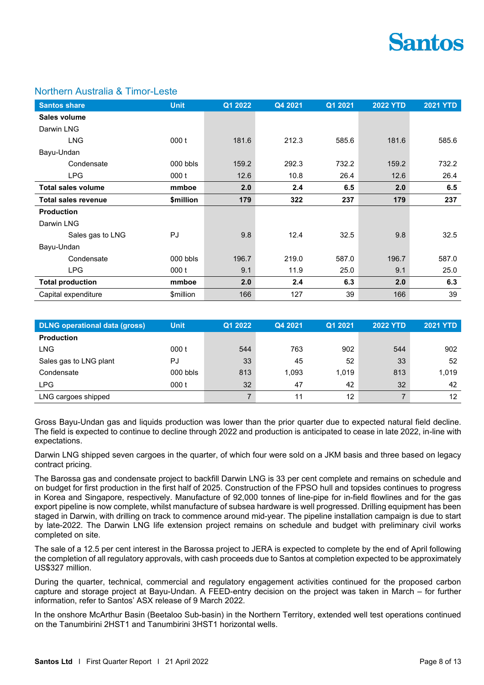

#### Northern Australia & Timor-Leste

| <b>Santos share</b>        | <b>Unit</b> | Q1 2022 | Q4 2021 | Q1 2021 | <b>2022 YTD</b> | <b>2021 YTD</b> |
|----------------------------|-------------|---------|---------|---------|-----------------|-----------------|
| Sales volume               |             |         |         |         |                 |                 |
| Darwin LNG                 |             |         |         |         |                 |                 |
| <b>LNG</b>                 | 000t        | 181.6   | 212.3   | 585.6   | 181.6           | 585.6           |
| Bayu-Undan                 |             |         |         |         |                 |                 |
| Condensate                 | $000$ bbls  | 159.2   | 292.3   | 732.2   | 159.2           | 732.2           |
| <b>LPG</b>                 | 000t        | 12.6    | 10.8    | 26.4    | 12.6            | 26.4            |
| <b>Total sales volume</b>  | mmboe       | 2.0     | 2.4     | 6.5     | 2.0             | 6.5             |
| <b>Total sales revenue</b> | \$million   | 179     | 322     | 237     | 179             | 237             |
| <b>Production</b>          |             |         |         |         |                 |                 |
| Darwin LNG                 |             |         |         |         |                 |                 |
| Sales gas to LNG           | PJ          | 9.8     | 12.4    | 32.5    | 9.8             | 32.5            |
| Bayu-Undan                 |             |         |         |         |                 |                 |
| Condensate                 | 000 bbls    | 196.7   | 219.0   | 587.0   | 196.7           | 587.0           |
| <b>LPG</b>                 | 000t        | 9.1     | 11.9    | 25.0    | 9.1             | 25.0            |
| <b>Total production</b>    | mmboe       | 2.0     | 2.4     | 6.3     | 2.0             | 6.3             |
| Capital expenditure        | \$million   | 166     | 127     | 39      | 166             | 39              |

| <b>DLNG</b> operational data (gross) | <b>Unit</b> | Q1 2022 | Q4 2021 | Q1 2021           | <b>2022 YTD</b> | <b>2021 YTD</b> |
|--------------------------------------|-------------|---------|---------|-------------------|-----------------|-----------------|
| <b>Production</b>                    |             |         |         |                   |                 |                 |
| LNG                                  | 000t        | 544     | 763     | 902               | 544             | 902             |
| Sales gas to LNG plant               | PJ          | 33      | 45      | 52                | 33              | 52              |
| Condensate                           | $000$ bbls  | 813     | 1,093   | 1.019             | 813             | 1,019           |
| <b>LPG</b>                           | 000 t       | 32      | 47      | 42                | 32              | 42              |
| LNG cargoes shipped                  |             |         | 11      | $12 \overline{ }$ |                 | 12              |

Gross Bayu-Undan gas and liquids production was lower than the prior quarter due to expected natural field decline. The field is expected to continue to decline through 2022 and production is anticipated to cease in late 2022, in-line with expectations.

Darwin LNG shipped seven cargoes in the quarter, of which four were sold on a JKM basis and three based on legacy contract pricing.

The Barossa gas and condensate project to backfill Darwin LNG is 33 per cent complete and remains on schedule and on budget for first production in the first half of 2025. Construction of the FPSO hull and topsides continues to progress in Korea and Singapore, respectively. Manufacture of 92,000 tonnes of line-pipe for in-field flowlines and for the gas export pipeline is now complete, whilst manufacture of subsea hardware is well progressed. Drilling equipment has been staged in Darwin, with drilling on track to commence around mid-year. The pipeline installation campaign is due to start by late-2022. The Darwin LNG life extension project remains on schedule and budget with preliminary civil works completed on site.

The sale of a 12.5 per cent interest in the Barossa project to JERA is expected to complete by the end of April following the completion of all regulatory approvals, with cash proceeds due to Santos at completion expected to be approximately US\$327 million.

During the quarter, technical, commercial and regulatory engagement activities continued for the proposed carbon capture and storage project at Bayu-Undan. A FEED-entry decision on the project was taken in March – for further information, refer to Santos' ASX release of 9 March 2022.

In the onshore McArthur Basin (Beetaloo Sub-basin) in the Northern Territory, extended well test operations continued on the Tanumbirini 2HST1 and Tanumbirini 3HST1 horizontal wells.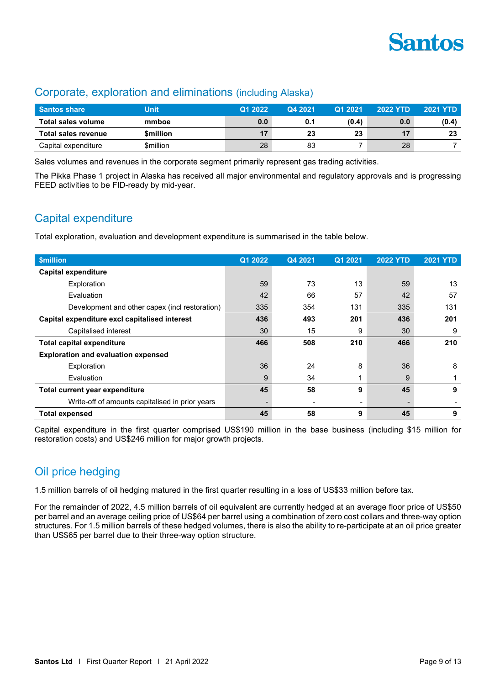

## Corporate, exploration and eliminations (including Alaska)

| <b>Santos share</b> | Unit      | Q1 2022 | Q4 2021 | Q1 2021 | <b>2022 YTD</b> | <b>2021 YTD</b> |
|---------------------|-----------|---------|---------|---------|-----------------|-----------------|
| Total sales volume  | mmboe     | 0.0     | 0.1     | (0.4)   | 0.0             | (0.4)           |
| Total sales revenue | \$million | 17      | 23      | 23      |                 | 23              |
| Capital expenditure | \$million | 28      | 83      |         | 28              |                 |

Sales volumes and revenues in the corporate segment primarily represent gas trading activities.

The Pikka Phase 1 project in Alaska has received all major environmental and regulatory approvals and is progressing FEED activities to be FID-ready by mid-year.

## Capital expenditure

Total exploration, evaluation and development expenditure is summarised in the table below.

| <b>\$million</b>                                | Q1 2022 | Q4 2021 | Q1 2021 | <b>2022 YTD</b> | <b>2021 YTD</b> |
|-------------------------------------------------|---------|---------|---------|-----------------|-----------------|
| <b>Capital expenditure</b>                      |         |         |         |                 |                 |
| Exploration                                     | 59      | 73      | 13      | 59              | 13              |
| Evaluation                                      | 42      | 66      | 57      | 42              | 57              |
| Development and other capex (incl restoration)  | 335     | 354     | 131     | 335             | 131             |
| Capital expenditure excl capitalised interest   | 436     | 493     | 201     | 436             | 201             |
| Capitalised interest                            | 30      | 15      | 9       | 30              | 9               |
| <b>Total capital expenditure</b>                | 466     | 508     | 210     | 466             | 210             |
| <b>Exploration and evaluation expensed</b>      |         |         |         |                 |                 |
| Exploration                                     | 36      | 24      | 8       | 36              | 8               |
| Evaluation                                      | 9       | 34      |         | 9               |                 |
| Total current year expenditure                  | 45      | 58      | 9       | 45              | 9               |
| Write-off of amounts capitalised in prior years |         |         |         |                 |                 |
| <b>Total expensed</b>                           | 45      | 58      | 9       | 45              | 9               |

Capital expenditure in the first quarter comprised US\$190 million in the base business (including \$15 million for restoration costs) and US\$246 million for major growth projects.

## Oil price hedging

1.5 million barrels of oil hedging matured in the first quarter resulting in a loss of US\$33 million before tax.

For the remainder of 2022, 4.5 million barrels of oil equivalent are currently hedged at an average floor price of US\$50 per barrel and an average ceiling price of US\$64 per barrel using a combination of zero cost collars and three-way option structures. For 1.5 million barrels of these hedged volumes, there is also the ability to re-participate at an oil price greater than US\$65 per barrel due to their three-way option structure.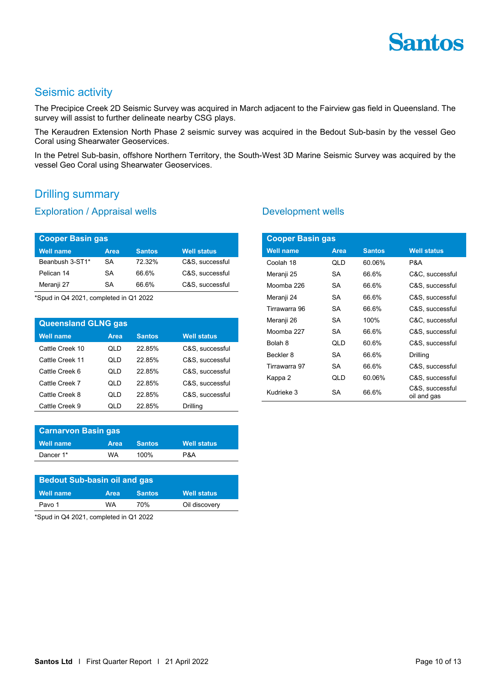

## Seismic activity

The Precipice Creek 2D Seismic Survey was acquired in March adjacent to the Fairview gas field in Queensland. The survey will assist to further delineate nearby CSG plays.

The Keraudren Extension North Phase 2 seismic survey was acquired in the Bedout Sub-basin by the vessel Geo Coral using Shearwater Geoservices.

In the Petrel Sub-basin, offshore Northern Territory, the South-West 3D Marine Seismic Survey was acquired by the vessel Geo Coral using Shearwater Geoservices.

## Drilling summary

#### Exploration / Appraisal wells

| <b>Cooper Basin gas</b> |      |               |                    |  |  |  |
|-------------------------|------|---------------|--------------------|--|--|--|
| <b>Well name</b>        | Area | <b>Santos</b> | <b>Well status</b> |  |  |  |
| Beanbush 3-ST1*         | SA.  | 72 32%        | C&S, successful    |  |  |  |
| Pelican 14              | SA.  | 66.6%         | C&S, successful    |  |  |  |
| Meranji 27              | SA   | 66.6%         | C&S, successful    |  |  |  |

\*Spud in Q4 2021, completed in Q1 2022

| <b>Queensland GLNG gas</b> |             |               |                    |  |  |  |
|----------------------------|-------------|---------------|--------------------|--|--|--|
| <b>Well name</b>           | <b>Area</b> | <b>Santos</b> | <b>Well status</b> |  |  |  |
| Cattle Creek 10            | QLD         | 22.85%        | C&S. successful    |  |  |  |
| Cattle Creek 11            | QLD         | 22.85%        | C&S. successful    |  |  |  |
| Cattle Creek 6             | QLD         | 22 85%        | C&S. successful    |  |  |  |
| Cattle Creek 7             | QLD         | 22.85%        | C&S, successful    |  |  |  |
| Cattle Creek 8             | QLD         | 22.85%        | C&S. successful    |  |  |  |
| Cattle Creek 9             | QLD         | 2285%         | Drillina           |  |  |  |

| <b>Carnarvon Basin gas</b> |             |               |                    |  |  |  |
|----------------------------|-------------|---------------|--------------------|--|--|--|
| Well name                  | <b>Area</b> | <b>Santos</b> | <b>Well status</b> |  |  |  |
| Dancer 1*                  | WA          | 100%          | P&A                |  |  |  |

| <b>Bedout Sub-basin oil and gas</b> |      |               |                    |  |  |
|-------------------------------------|------|---------------|--------------------|--|--|
| Well name                           | Area | <b>Santos</b> | <b>Well status</b> |  |  |
| Pavo 1                              | WA   | 70%           | Oil discovery      |  |  |

\*Spud in Q4 2021, completed in Q1 2022

## Development wells

| <b>Cooper Basin gas</b> |      |               |                                |  |  |
|-------------------------|------|---------------|--------------------------------|--|--|
| <b>Well name</b>        | Area | <b>Santos</b> | <b>Well status</b>             |  |  |
| Coolah 18               | QLD  | 60.06%        | P&A                            |  |  |
| Meranji 25              | SA   | 66.6%         | C&C, successful                |  |  |
| Moomba 226              | SA   | 66.6%         | C&S, successful                |  |  |
| Meranji 24              | SA   | 66.6%         | C&S, successful                |  |  |
| Tirrawarra 96           | SA   | 66.6%         | C&S, successful                |  |  |
| Meranji 26              | SA   | 100%          | C&C, successful                |  |  |
| Moomba 227              | SA   | 66.6%         | C&S, successful                |  |  |
| Bolah 8                 | QLD  | 60.6%         | C&S, successful                |  |  |
| Beckler 8               | SA   | 66.6%         | Drilling                       |  |  |
| Tirrawarra 97           | SA   | 66.6%         | C&S, successful                |  |  |
| Kappa 2                 | QLD  | 60.06%        | C&S, successful                |  |  |
| Kudrieke 3              | SA   | 66.6%         | C&S, successful<br>oil and gas |  |  |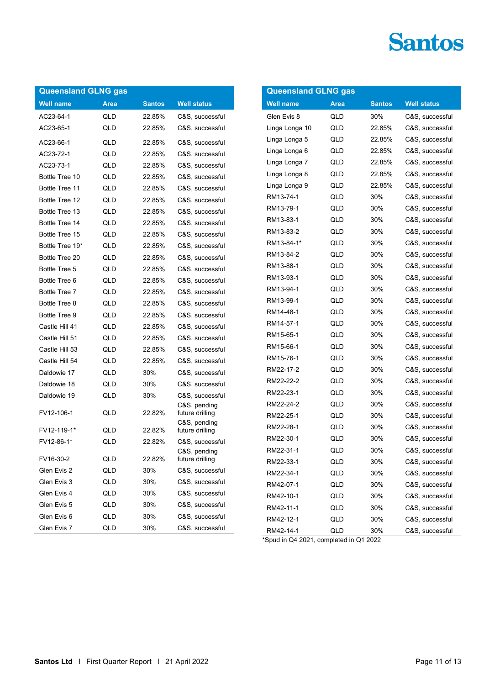# **Santos**

| <b>Queensland GLNG gas</b> |      |               |                                 |  |  |
|----------------------------|------|---------------|---------------------------------|--|--|
| <b>Well name</b>           | Area | <b>Santos</b> | <b>Well status</b>              |  |  |
| AC23-64-1                  | QLD  | 22.85%        | C&S, successful                 |  |  |
| AC23-65-1                  | QLD  | 22.85%        | C&S, successful                 |  |  |
| AC23-66-1                  | QLD  | 22.85%        | C&S, successful                 |  |  |
| AC23-72-1                  | QLD  | 22.85%        | C&S, successful                 |  |  |
| AC23-73-1                  | QLD  | 22.85%        | C&S, successful                 |  |  |
| Bottle Tree 10             | QLD  | 22.85%        | C&S, successful                 |  |  |
| Bottle Tree 11             | QLD  | 22.85%        | C&S, successful                 |  |  |
| Bottle Tree 12             | QLD  | 22.85%        | C&S, successful                 |  |  |
| Bottle Tree 13             | QLD  | 22.85%        | C&S, successful                 |  |  |
| Bottle Tree 14             | QLD  | 22.85%        | C&S, successful                 |  |  |
| Bottle Tree 15             | QLD  | 22.85%        | C&S, successful                 |  |  |
| Bottle Tree 19*            | QLD  | 22.85%        | C&S, successful                 |  |  |
| Bottle Tree 20             | QLD  | 22.85%        | C&S, successful                 |  |  |
| Bottle Tree 5              | QLD  | 22.85%        | C&S, successful                 |  |  |
| Bottle Tree 6              | QLD  | 22.85%        | C&S, successful                 |  |  |
| Bottle Tree 7              | QLD  | 22.85%        | C&S, successful                 |  |  |
| Bottle Tree 8              | QLD  | 22.85%        | C&S, successful                 |  |  |
| Bottle Tree 9              | QLD  | 22.85%        | C&S. successful                 |  |  |
| Castle Hill 41             | QLD  | 22.85%        | C&S, successful                 |  |  |
| Castle Hill 51             | QLD  | 22.85%        | C&S, successful                 |  |  |
| Castle Hill 53             | QLD  | 22.85%        | C&S, successful                 |  |  |
| Castle Hill 54             | QLD  | 22.85%        | C&S, successful                 |  |  |
| Daldowie 17                | QLD  | 30%           | C&S, successful                 |  |  |
| Daldowie 18                | QLD  | 30%           | C&S, successful                 |  |  |
| Daldowie 19                | QLD  | 30%           | C&S, successful                 |  |  |
| FV12-106-1                 | QLD  | 22.82%        | C&S, pending<br>future drilling |  |  |
| FV12-119-1*                | QLD  | 22.82%        | C&S, pending<br>future drilling |  |  |
| FV12-86-1*                 | QLD  | 22.82%        | C&S, successful                 |  |  |
| FV16-30-2                  | QLD  | 22.82%        | C&S, pending<br>future drilling |  |  |
| Glen Evis 2                | QLD  | 30%           | C&S, successful                 |  |  |
| Glen Evis 3                | QLD  | 30%           | C&S, successful                 |  |  |
| Glen Evis 4                | QLD  | 30%           | C&S, successful                 |  |  |
| Glen Evis 5                | QLD  | 30%           | C&S, successful                 |  |  |
| Glen Evis 6                | QLD  | 30%           | C&S, successful                 |  |  |
| Glen Evis 7                | QLD  | 30%           | C&S, successful                 |  |  |

| <b>Queensland GLNG gas</b> |             |               |                    |
|----------------------------|-------------|---------------|--------------------|
| <b>Well name</b>           | <b>Area</b> | <b>Santos</b> | <b>Well status</b> |
| Glen Evis 8                | QLD         | 30%           | C&S, successful    |
| Linga Longa 10             | QLD         | 22.85%        | C&S, successful    |
| Linga Longa 5              | QLD         | 22.85%        | C&S, successful    |
| Linga Longa 6              | QLD         | 22.85%        | C&S, successful    |
| Linga Longa 7              | QLD         | 22.85%        | C&S, successful    |
| Linga Longa 8              | QLD         | 22.85%        | C&S, successful    |
| Linga Longa 9              | QLD         | 22.85%        | C&S, successful    |
| RM13-74-1                  | QLD         | 30%           | C&S, successful    |
| RM13-79-1                  | QLD         | 30%           | C&S, successful    |
| RM13-83-1                  | QLD         | 30%           | C&S, successful    |
| RM13-83-2                  | QLD         | 30%           | C&S, successful    |
| RM13-84-1*                 | QLD         | 30%           | C&S, successful    |
| RM13-84-2                  | QLD         | 30%           | C&S, successful    |
| RM13-88-1                  | QLD         | 30%           | C&S, successful    |
| RM13-93-1                  | QLD         | 30%           | C&S, successful    |
| RM13-94-1                  | QLD         | 30%           | C&S, successful    |
| RM13-99-1                  | QLD         | 30%           | C&S, successful    |
| RM14-48-1                  | QLD         | 30%           | C&S. successful    |
| RM14-57-1                  | QLD         | 30%           | C&S, successful    |
| RM15-65-1                  | QLD         | 30%           | C&S, successful    |
| RM15-66-1                  | QLD         | 30%           | C&S, successful    |
| RM15-76-1                  | QLD         | 30%           | C&S, successful    |
| RM22-17-2                  | QLD         | 30%           | C&S, successful    |
| RM22-22-2                  | QLD         | 30%           | C&S, successful    |
| RM22-23-1                  | QLD         | 30%           | C&S, successful    |
| RM22-24-2                  | QLD         | 30%           | C&S, successful    |
| RM22-25-1                  | QLD         | 30%           | C&S. successful    |
| RM22-28-1                  | QLD         | 30%           | C&S, successful    |
| RM22-30-1                  | QLD         | 30%           | C&S, successful    |
| RM22-31-1                  | QLD         | 30%           | C&S, successful    |
| RM22-33-1                  | QLD         | 30%           | C&S, successful    |
| RM22-34-1                  | QLD         | 30%           | C&S, successful    |
| RM42-07-1                  | QLD         | 30%           | C&S, successful    |
| RM42-10-1                  | QLD         | 30%           | C&S, successful    |
| RM42-11-1                  | QLD         | 30%           | C&S, successful    |
| RM42-12-1                  | QLD         | 30%           | C&S, successful    |
| RM42-14-1                  | QLD         | 30%           | C&S, successful    |

\*Spud in Q4 2021, completed in Q1 2022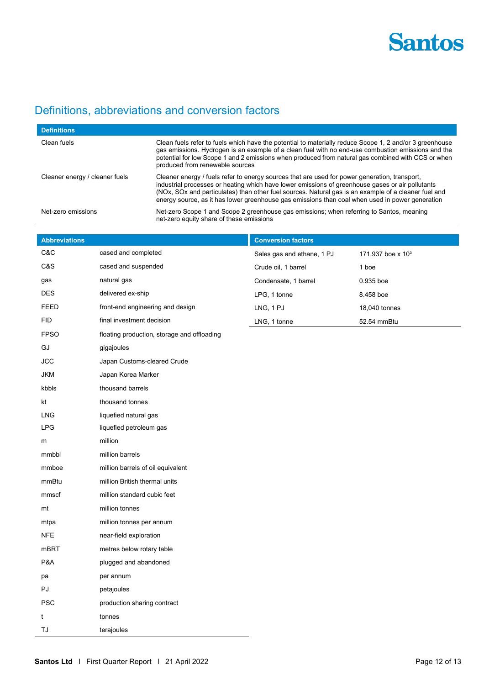

## Definitions, abbreviations and conversion factors

| <b>Definitions</b>             |                                                                                                                                                                                                                                                                                                                                                                                                              |
|--------------------------------|--------------------------------------------------------------------------------------------------------------------------------------------------------------------------------------------------------------------------------------------------------------------------------------------------------------------------------------------------------------------------------------------------------------|
| Clean fuels                    | Clean fuels refer to fuels which have the potential to materially reduce Scope 1, 2 and/or 3 greenhouse<br>gas emissions. Hydrogen is an example of a clean fuel with no end-use combustion emissions and the<br>potential for low Scope 1 and 2 emissions when produced from natural gas combined with CCS or when<br>produced from renewable sources                                                       |
| Cleaner energy / cleaner fuels | Cleaner energy / fuels refer to energy sources that are used for power generation, transport,<br>industrial processes or heating which have lower emissions of greenhouse gases or air pollutants<br>(NOx, SOx and particulates) than other fuel sources. Natural gas is an example of a cleaner fuel and<br>energy source, as it has lower greenhouse gas emissions than coal when used in power generation |
| Net-zero emissions             | Net-zero Scope 1 and Scope 2 greenhouse gas emissions; when referring to Santos, meaning<br>net-zero equity share of these emissions                                                                                                                                                                                                                                                                         |

| <b>Abbreviations</b>   |                                             | <b>Conversion factors</b>  |                               |  |
|------------------------|---------------------------------------------|----------------------------|-------------------------------|--|
| C&C                    | cased and completed                         | Sales gas and ethane, 1 PJ | 171.937 boe x 10 <sup>3</sup> |  |
| C&S                    | cased and suspended                         | Crude oil, 1 barrel        | 1 boe                         |  |
| gas                    | natural gas                                 | Condensate, 1 barrel       | 0.935 boe                     |  |
| <b>DES</b>             | delivered ex-ship                           | LPG, 1 tonne               | 8.458 boe                     |  |
| <b>FEED</b>            | front-end engineering and design            | LNG, 1 PJ                  | 18,040 tonnes                 |  |
| <b>FID</b>             | final investment decision                   | LNG, 1 tonne               | 52.54 mmBtu                   |  |
| <b>FPSO</b>            | floating production, storage and offloading |                            |                               |  |
| GJ                     | gigajoules                                  |                            |                               |  |
| <b>JCC</b>             | Japan Customs-cleared Crude                 |                            |                               |  |
| <b>JKM</b>             | Japan Korea Marker                          |                            |                               |  |
| kbbls                  | thousand barrels                            |                            |                               |  |
| kt                     | thousand tonnes                             |                            |                               |  |
| <b>LNG</b>             | liquefied natural gas                       |                            |                               |  |
| LPG                    | liquefied petroleum gas                     |                            |                               |  |
| m                      | million                                     |                            |                               |  |
| mmbbl                  | million barrels                             |                            |                               |  |
| mmboe                  | million barrels of oil equivalent           |                            |                               |  |
| mmBtu                  | million British thermal units               |                            |                               |  |
| mmscf                  | million standard cubic feet                 |                            |                               |  |
| mt                     | million tonnes                              |                            |                               |  |
| mtpa                   | million tonnes per annum                    |                            |                               |  |
| <b>NFE</b>             | near-field exploration                      |                            |                               |  |
| <b>mBRT</b>            | metres below rotary table                   |                            |                               |  |
| P&A                    | plugged and abandoned                       |                            |                               |  |
| pa                     | per annum                                   |                            |                               |  |
| $\mathsf{P}\mathsf{J}$ | petajoules                                  |                            |                               |  |
| <b>PSC</b>             | production sharing contract                 |                            |                               |  |
| t                      | tonnes                                      |                            |                               |  |
| TJ                     | terajoules                                  |                            |                               |  |